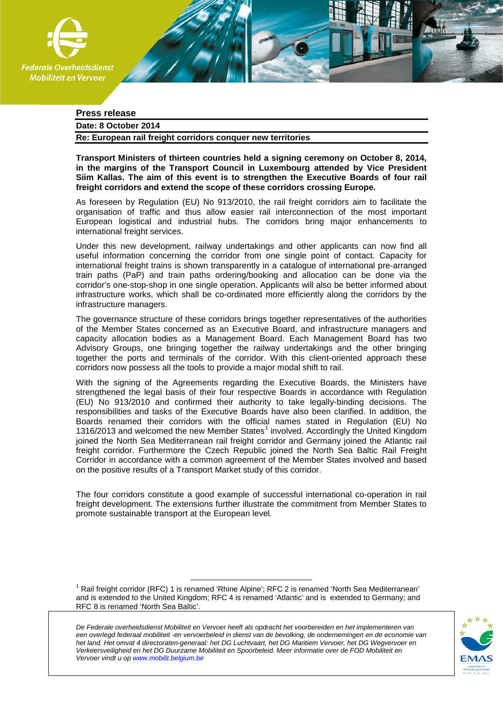

# **Press release**

# **Date: 8 October 2014**

**Re: European rail freight corridors conquer new territories** 

**Transport Ministers of thirteen countries held a signing ceremony on October 8, 2014, in the margins of the Transport Council in Luxembourg attended by Vice President Siim Kallas. The aim of this event is to strengthen the Executive Boards of four rail freight corridors and extend the scope of these corridors crossing Europe.** 

As foreseen by Regulation (EU) No 913/2010, the rail freight corridors aim to facilitate the organisation of traffic and thus allow easier rail interconnection of the most important European logistical and industrial hubs. The corridors bring major enhancements to international freight services.

Under this new development, railway undertakings and other applicants can now find all useful information concerning the corridor from one single point of contact. Capacity for international freight trains is shown transparently in a catalogue of international pre-arranged train paths (PaP) and train paths ordering/booking and allocation can be done via the corridor's one-stop-shop in one single operation. Applicants will also be better informed about infrastructure works, which shall be co-ordinated more efficiently along the corridors by the infrastructure managers.

The governance structure of these corridors brings together representatives of the authorities of the Member States concerned as an Executive Board, and infrastructure managers and capacity allocation bodies as a Management Board. Each Management Board has two Advisory Groups, one bringing together the railway undertakings and the other bringing together the ports and terminals of the corridor. With this client-oriented approach these corridors now possess all the tools to provide a major modal shift to rail.

With the signing of the Agreements regarding the Executive Boards, the Ministers have strengthened the legal basis of their four respective Boards in accordance with Regulation (EU) No 913/2010 and confirmed their authority to take legally-binding decisions. The responsibilities and tasks of the Executive Boards have also been clarified. In addition, the Boards renamed their corridors with the official names stated in Regulation (EU) No [1](#page-0-0)316/2013 and welcomed the new Member States $^1$  involved. Accordingly the United Kingdom joined the North Sea Mediterranean rail freight corridor and Germany joined the Atlantic rail freight corridor. Furthermore the Czech Republic joined the North Sea Baltic Rail Freight Corridor in accordance with a common agreement of the Member States involved and based on the positive results of a Transport Market study of this corridor.

The four corridors constitute a good example of successful international co-operation in rail freight development. The extensions further illustrate the commitment from Member States to promote sustainable transport at the European level.

<span id="page-0-0"></span> $<sup>1</sup>$  Rail freight corridor (RFC) 1 is renamed 'Rhine Alpine'; RFC 2 is renamed 'North Sea Mediterranean'</sup> and is extended to the United Kingdom; RFC 4 is renamed 'Atlantic' and is extended to Germany; and RFC 8 is renamed 'North Sea Baltic'.

*De Federale overheidsdienst Mobiliteit en Vervoer heeft als opdracht het voorbereiden en het implementeren van een overlegd federaal mobiliteit -en vervoerbeleid in dienst van de bevolking, de ondernemingen en de economie van het land. Het omvat 4 directoraten-generaal: het DG Luchtvaart, het DG Maritiem Vervoer, het DG Wegvervoer en Verkeersveiligheid en het DG Duurzame Mobiliteit en Spoorbeleid. Meer informatie over de FOD Mobiliteit en Vervoer vindt u o[p www.mobilit.belgium.be](http://www.mobilit.belgium.be/)*